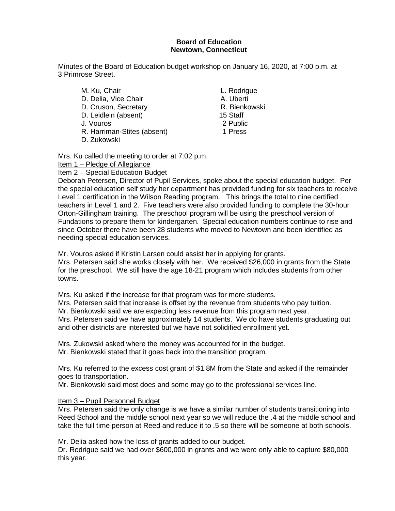#### **Board of Education Newtown, Connecticut**

Minutes of the Board of Education budget workshop on January 16, 2020, at 7:00 p.m. at 3 Primrose Street.

M. Ku, Chair **L. Rodrigue** D. Delia, Vice Chair **A. Uberti** D. Cruson, Secretary **R. Bienkowski**<br>
D. Leidlein (absent) 15 Staff D. Leidlein (absent) J. Vouros 2 Public R. Harriman-Stites (absent) 1 Press D. Zukowski

Mrs. Ku called the meeting to order at 7:02 p.m. Item 1 – Pledge of Allegiance

Item 2 - Special Education Budget

Deborah Petersen, Director of Pupil Services, spoke about the special education budget. Per the special education self study her department has provided funding for six teachers to receive Level 1 certification in the Wilson Reading program. This brings the total to nine certified teachers in Level 1 and 2. Five teachers were also provided funding to complete the 30-hour Orton-Gillingham training. The preschool program will be using the preschool version of Fundations to prepare them for kindergarten. Special education numbers continue to rise and since October there have been 28 students who moved to Newtown and been identified as needing special education services.

Mr. Vouros asked if Kristin Larsen could assist her in applying for grants. Mrs. Petersen said she works closely with her. We received \$26,000 in grants from the State for the preschool. We still have the age 18-21 program which includes students from other towns.

Mrs. Ku asked if the increase for that program was for more students.

Mrs. Petersen said that increase is offset by the revenue from students who pay tuition.

Mr. Bienkowski said we are expecting less revenue from this program next year.

Mrs. Petersen said we have approximately 14 students. We do have students graduating out and other districts are interested but we have not solidified enrollment yet.

Mrs. Zukowski asked where the money was accounted for in the budget. Mr. Bienkowski stated that it goes back into the transition program.

Mrs. Ku referred to the excess cost grant of \$1.8M from the State and asked if the remainder goes to transportation.

Mr. Bienkowski said most does and some may go to the professional services line.

#### Item 3 – Pupil Personnel Budget

Mrs. Petersen said the only change is we have a similar number of students transitioning into Reed School and the middle school next year so we will reduce the .4 at the middle school and take the full time person at Reed and reduce it to .5 so there will be someone at both schools.

Mr. Delia asked how the loss of grants added to our budget.

Dr. Rodrigue said we had over \$600,000 in grants and we were only able to capture \$80,000 this year.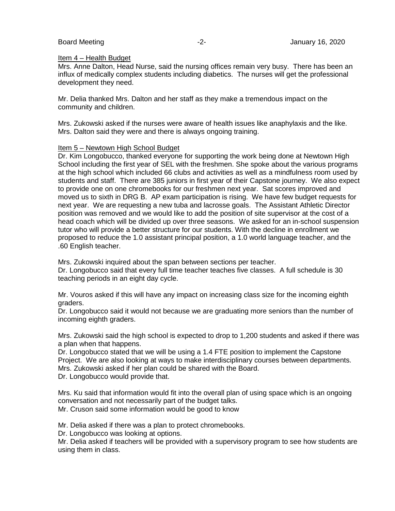#### Item 4 – Health Budget

Mrs. Anne Dalton, Head Nurse, said the nursing offices remain very busy. There has been an influx of medically complex students including diabetics. The nurses will get the professional development they need.

Mr. Delia thanked Mrs. Dalton and her staff as they make a tremendous impact on the community and children.

Mrs. Zukowski asked if the nurses were aware of health issues like anaphylaxis and the like. Mrs. Dalton said they were and there is always ongoing training.

#### Item 5 – Newtown High School Budget

Dr. Kim Longobucco, thanked everyone for supporting the work being done at Newtown High School including the first year of SEL with the freshmen. She spoke about the various programs at the high school which included 66 clubs and activities as well as a mindfulness room used by students and staff. There are 385 juniors in first year of their Capstone journey. We also expect to provide one on one chromebooks for our freshmen next year. Sat scores improved and moved us to sixth in DRG B. AP exam participation is rising. We have few budget requests for next year. We are requesting a new tuba and lacrosse goals. The Assistant Athletic Director position was removed and we would like to add the position of site supervisor at the cost of a head coach which will be divided up over three seasons. We asked for an in-school suspension tutor who will provide a better structure for our students. With the decline in enrollment we proposed to reduce the 1.0 assistant principal position, a 1.0 world language teacher, and the .60 English teacher.

Mrs. Zukowski inquired about the span between sections per teacher.

Dr. Longobucco said that every full time teacher teaches five classes. A full schedule is 30 teaching periods in an eight day cycle.

Mr. Vouros asked if this will have any impact on increasing class size for the incoming eighth graders.

Dr. Longobucco said it would not because we are graduating more seniors than the number of incoming eighth graders.

Mrs. Zukowski said the high school is expected to drop to 1,200 students and asked if there was a plan when that happens.

Dr. Longobucco stated that we will be using a 1.4 FTE position to implement the Capstone Project. We are also looking at ways to make interdisciplinary courses between departments. Mrs. Zukowski asked if her plan could be shared with the Board.

Dr. Longobucco would provide that.

Mrs. Ku said that information would fit into the overall plan of using space which is an ongoing conversation and not necessarily part of the budget talks.

Mr. Cruson said some information would be good to know

Mr. Delia asked if there was a plan to protect chromebooks.

Dr. Longobucco was looking at options.

Mr. Delia asked if teachers will be provided with a supervisory program to see how students are using them in class.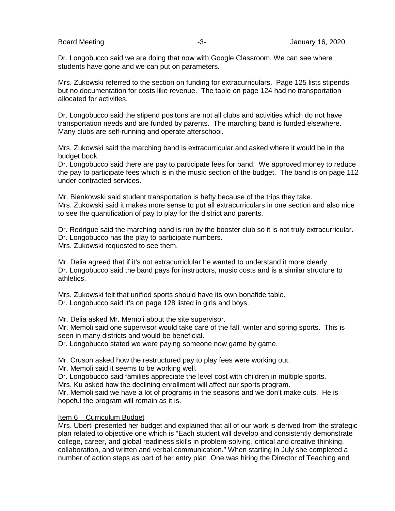Dr. Longobucco said we are doing that now with Google Classroom. We can see where students have gone and we can put on parameters.

Mrs. Zukowski referred to the section on funding for extracurriculars. Page 125 lists stipends but no documentation for costs like revenue. The table on page 124 had no transportation allocated for activities.

Dr. Longobucco said the stipend positons are not all clubs and activities which do not have transportation needs and are funded by parents. The marching band is funded elsewhere. Many clubs are self-running and operate afterschool.

Mrs. Zukowski said the marching band is extracurricular and asked where it would be in the budget book.

Dr. Longobucco said there are pay to participate fees for band. We approved money to reduce the pay to participate fees which is in the music section of the budget. The band is on page 112 under contracted services.

Mr. Bienkowski said student transportation is hefty because of the trips they take. Mrs. Zukowski said it makes more sense to put all extracurriculars in one section and also nice to see the quantification of pay to play for the district and parents.

Dr. Rodrigue said the marching band is run by the booster club so it is not truly extracurricular. Dr. Longobucco has the play to participate numbers. Mrs. Zukowski requested to see them.

Mr. Delia agreed that if it's not extracurriclular he wanted to understand it more clearly. Dr. Longobucco said the band pays for instructors, music costs and is a similar structure to athletics.

Mrs. Zukowski felt that unified sports should have its own bonafide table. Dr. Longobucco said it's on page 128 listed in girls and boys.

Mr. Delia asked Mr. Memoli about the site supervisor.

Mr. Memoli said one supervisor would take care of the fall, winter and spring sports. This is seen in many districts and would be beneficial.

Dr. Longobucco stated we were paying someone now game by game.

Mr. Cruson asked how the restructured pay to play fees were working out.

Mr. Memoli said it seems to be working well.

Dr. Longobucco said families appreciate the level cost with children in multiple sports.

Mrs. Ku asked how the declining enrollment will affect our sports program.

Mr. Memoli said we have a lot of programs in the seasons and we don't make cuts. He is hopeful the program will remain as it is.

#### Item 6 – Curriculum Budget

Mrs. Uberti presented her budget and explained that all of our work is derived from the strategic plan related to objective one which is "Each student will develop and consistently demonstrate college, career, and global readiness skills in problem-solving, critical and creative thinking, collaboration, and written and verbal communication." When starting in July she completed a number of action steps as part of her entry plan One was hiring the Director of Teaching and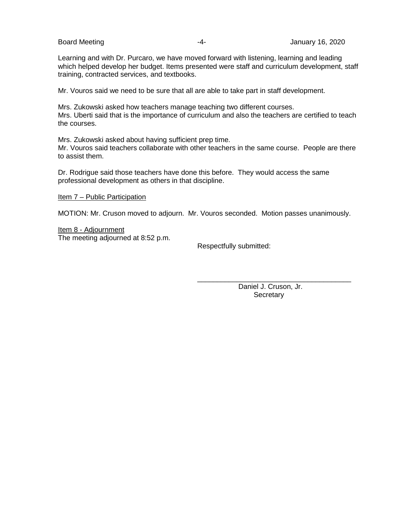Learning and with Dr. Purcaro, we have moved forward with listening, learning and leading which helped develop her budget. Items presented were staff and curriculum development, staff training, contracted services, and textbooks.

Mr. Vouros said we need to be sure that all are able to take part in staff development.

Mrs. Zukowski asked how teachers manage teaching two different courses. Mrs. Uberti said that is the importance of curriculum and also the teachers are certified to teach the courses.

Mrs. Zukowski asked about having sufficient prep time. Mr. Vouros said teachers collaborate with other teachers in the same course. People are there to assist them.

Dr. Rodrigue said those teachers have done this before. They would access the same professional development as others in that discipline.

Item 7 – Public Participation

MOTION: Mr. Cruson moved to adjourn. Mr. Vouros seconded. Motion passes unanimously.

Item 8 - Adjournment The meeting adjourned at 8:52 p.m.

Respectfully submitted:

\_\_\_\_\_\_\_\_\_\_\_\_\_\_\_\_\_\_\_\_\_\_\_\_\_\_\_\_\_\_\_\_\_\_\_\_\_\_\_ Daniel J. Cruson, Jr. **Secretary**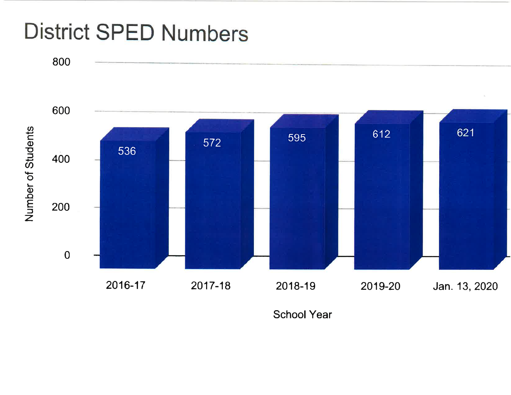# **District SPED Numbers**



**School Year**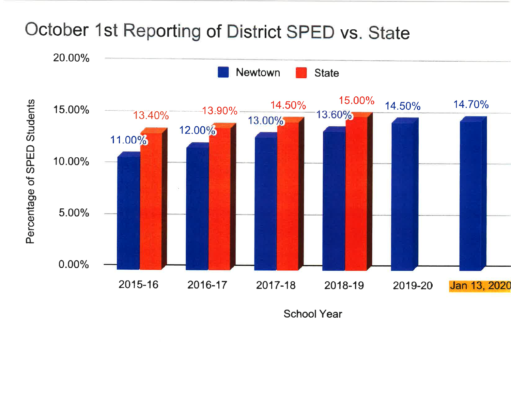

2017-18

5.00%

 $0.00%$ 

2015-16

2016-17

**School Year** 

2018-19

Jan 13, 2020

2019-20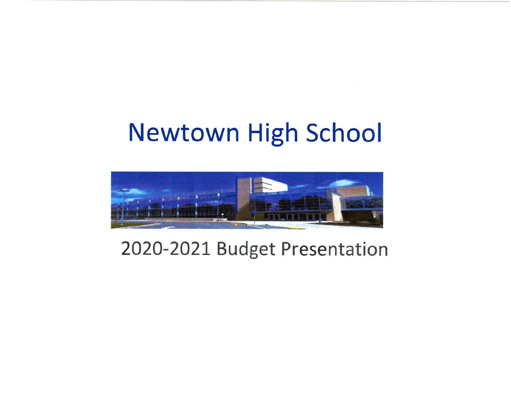# **Newtown High School**



# 2020-2021 Budget Presentation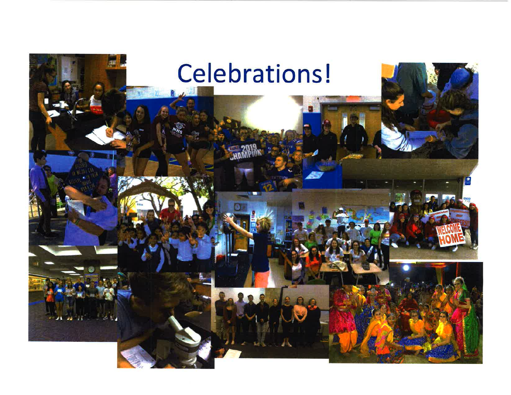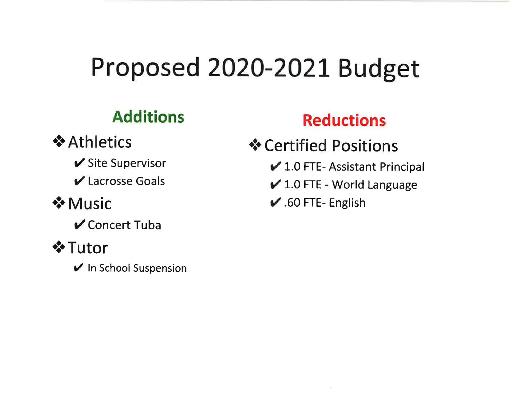# Proposed 2020-2021 Budget

#### **Additions**

# **❖ Athletics**

- ✔ Site Supervisor
- $\vee$  Lacrosse Goals

# $\triangle$  Music

**√** Concert Tuba

# **❖ Tutor**

In School Suspension

# **Reductions**

- ❖ Certified Positions
	- ✔ 1.0 FTE- Assistant Principal
	- ✔ 1.0 FTE World Language
	- $\overline{\smash{\checkmark}}$  .60 FTE-English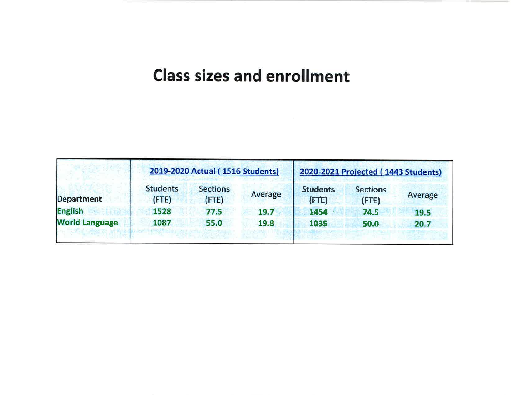# **Class sizes and enrollment**

|                       | 2019-2020 Actual (1516 Students) |                          |         | 2020-2021 Projected (1443 Students) |                                |         |
|-----------------------|----------------------------------|--------------------------|---------|-------------------------------------|--------------------------------|---------|
| Department            | <b>Students</b><br>(FTE)         | <b>Sections</b><br>(FTE) | Average | <b>Students</b><br>(FTE)            | <b>Sections</b><br>$($ FTE $)$ | Average |
| <b>English</b>        | 1528                             | 77.5                     | 19.7    | 1454                                | 74.5                           | 19.5    |
| <b>World Language</b> | 1087                             | 55.0                     | 19.8    | 1035                                | 50.0                           | 20.7    |
|                       |                                  |                          |         |                                     |                                |         |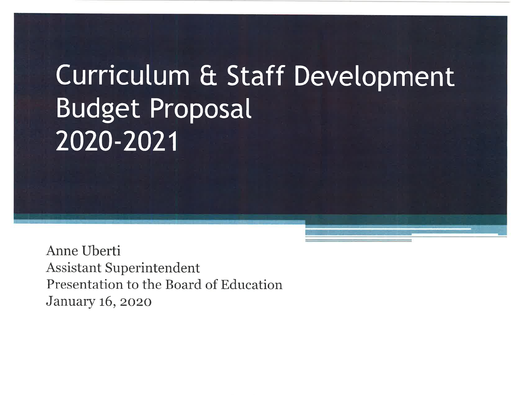# Curriculum & Staff Development **Budget Proposal** 2020-2021

Anne Uberti **Assistant Superintendent** Presentation to the Board of Education **January 16, 2020**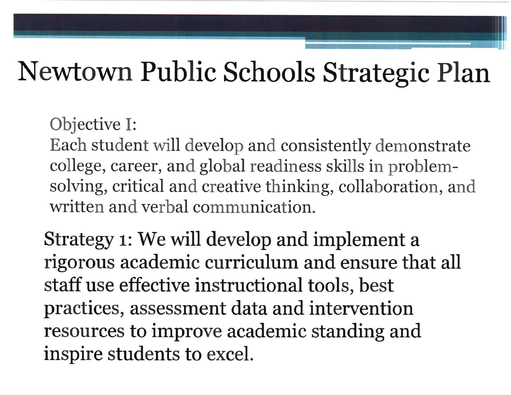# Newtown Public Schools Strategic Plan

Objective I:

Each student will develop and consistently demonstrate college, career, and global readiness skills in problemsolving, critical and creative thinking, collaboration, and written and verbal communication.

Strategy 1: We will develop and implement a rigorous academic curriculum and ensure that all staff use effective instructional tools, best practices, assessment data and intervention resources to improve academic standing and inspire students to excel.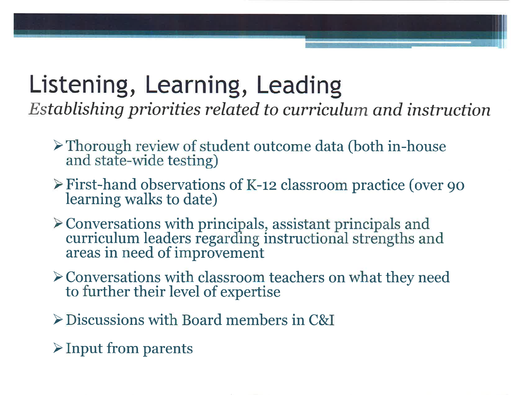# Listening, Learning, Leading

Establishing priorities related to curriculum and instruction

- $\triangleright$  Thorough review of student outcome data (both in-house and state-wide testing)
- $\triangleright$  First-hand observations of K-12 classroom practice (over 90 learning walks to date)
- $\blacktriangleright$  Conversations with principals, assistant principals and curriculum leaders regarding instructional strengths and areas in need of improvement
- > Conversations with classroom teachers on what they need to further their level of expertise
- $\triangleright$  Discussions with Board members in C&I
- $\triangleright$  Input from parents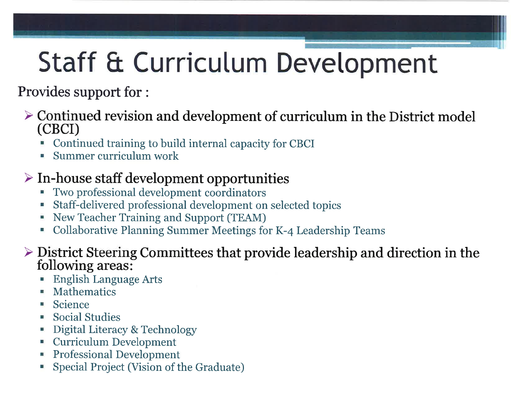# Staff & Curriculum Development

Provides support for :

- $\triangleright$  Continued revision and development of curriculum in the District model (CBCI)
	- Continued training to build internal capacity for CBCI
	- Summer curriculum work

## $\triangleright$  In-house staff development opportunities

- Two professional development coordinators a.
- Staff-delivered professional development on selected topics
- New Teacher Training and Support (TEAM) щ
- Collaborative Planning Summer Meetings for K-4 Leadership Teams ₩.

#### $\triangleright$  District Steering Committees that provide leadership and direction in the following areas:

- **English Language Arts**
- Mathematics
- Science
- **Social Studies**
- Digital Literacy & Technology
- Curriculum Development
- **Professional Development**
- Special Project (Vision of the Graduate)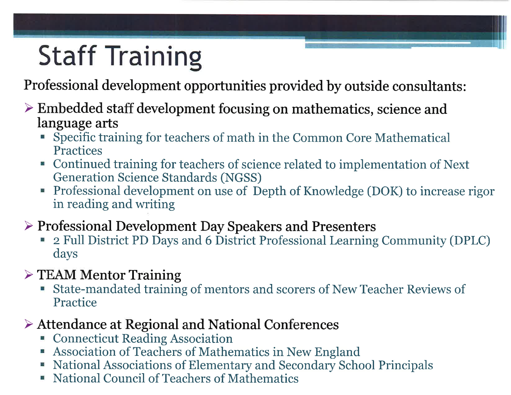# **Staff Training**

Professional development opportunities provided by outside consultants:

#### $\triangleright$  Embedded staff development focusing on mathematics, science and language arts

- " Specific training for teachers of math in the Common Core Mathematical **Practices**
- Continued training for teachers of science related to implementation of Next **Generation Science Standards (NGSS)**
- Professional development on use of Depth of Knowledge (DOK) to increase rigor in reading and writing
- $\triangleright$  Professional Development Day Speakers and Presenters
	- 2 Full District PD Days and 6 District Professional Learning Community (DPLC) days
- $\triangleright$  TEAM Mentor Training
	- State-mandated training of mentors and scorers of New Teacher Reviews of ш Practice

## $\triangleright$  Attendance at Regional and National Conferences

- Connecticut Reading Association
- Association of Teachers of Mathematics in New England
- National Associations of Elementary and Secondary School Principals
- National Council of Teachers of Mathematics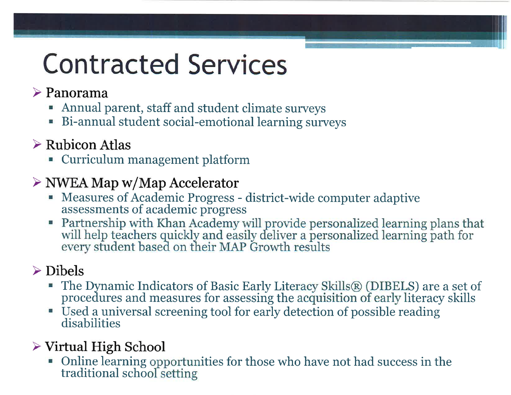# **Contracted Services**

## $\triangleright$  Panorama

- Annual parent, staff and student climate surveys
- Bi-annual student social-emotional learning surveys

## $\triangleright$  Rubicon Atlas

- Curriculum management platform

## $\triangleright$  NWEA Map w/Map Accelerator

- Measures of Academic Progress district-wide computer adaptive assessments of academic progress
- Partnership with Khan Academy will provide personalized learning plans that will help teachers quickly and easily deliver a personalized learning path for every student based on their MAP Growth results

# $\triangleright$  Dibels

- The Dynamic Indicators of Basic Early Literacy Skills® (DIBELS) are a set of procedures and measures for assessing the acquisition of early literacy skills
- Used a universal screening tool for early detection of possible reading disabilities

## $\triangleright$  Virtual High School

• Online learning opportunities for those who have not had success in the traditional school setting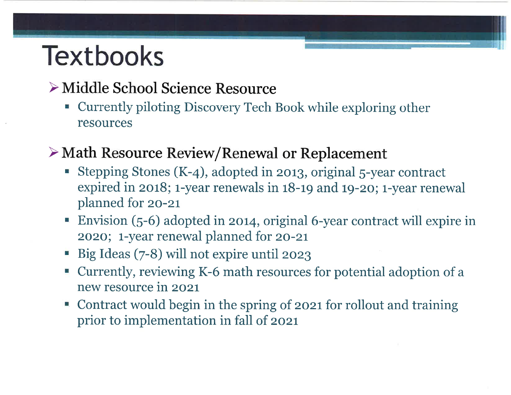# **Textbooks**

# ≻ Middle School Science Resource

" Currently piloting Discovery Tech Book while exploring other resources

## > Math Resource Review/Renewal or Replacement

- Stepping Stones (K-4), adopted in 2013, original 5-year contract expired in 2018; 1-year renewals in 18-19 and 19-20; 1-year renewal planned for 20-21
- Envision (5-6) adopted in 2014, original 6-year contract will expire in 2020; 1-year renewal planned for 20-21
- Big Ideas (7-8) will not expire until 2023
- Currently, reviewing K-6 math resources for potential adoption of a new resource in 2021
- Contract would begin in the spring of 2021 for rollout and training prior to implementation in fall of 2021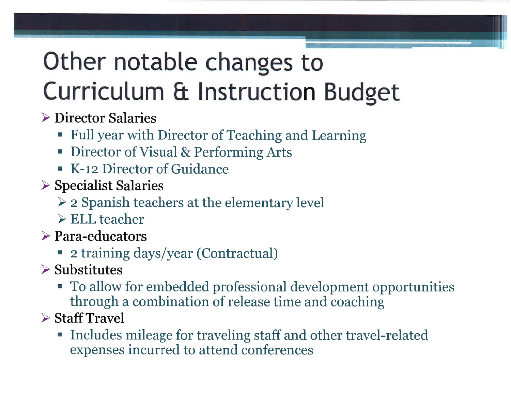# Other notable changes to Curriculum & Instruction Budget

## $\triangleright$  Director Salaries

- Full year with Director of Teaching and Learning
- Director of Visual & Performing Arts
- K-12 Director of Guidance
- $\triangleright$  Specialist Salaries
	- > 2 Spanish teachers at the elementary level
	- $\triangleright$  ELL teacher
- $\triangleright$  Para-educators
	- 2 training days/year (Contractual)
- $\triangleright$  Substitutes
	- To allow for embedded professional development opportunities through a combination of release time and coaching
- $\triangleright$  Staff Travel
	- Includes mileage for traveling staff and other travel-related expenses incurred to attend conferences